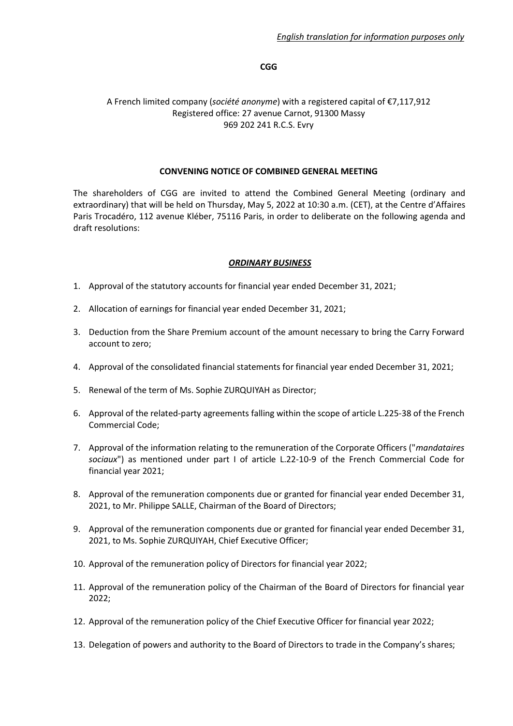#### **CGG**

#### A French limited company (*société anonyme*) with a registered capital of €7,117,912 Registered office: 27 avenue Carnot, 91300 Massy 969 202 241 R.C.S. Evry

#### **CONVENING NOTICE OF COMBINED GENERAL MEETING**

The shareholders of CGG are invited to attend the Combined General Meeting (ordinary and extraordinary) that will be held on Thursday, May 5, 2022 at 10:30 a.m. (CET), at the Centre d'Affaires Paris Trocadéro, 112 avenue Kléber, 75116 Paris, in order to deliberate on the following agenda and draft resolutions:

#### *ORDINARY BUSINESS*

- 1. Approval of the statutory accounts for financial year ended December 31, 2021;
- 2. Allocation of earnings for financial year ended December 31, 2021;
- 3. Deduction from the Share Premium account of the amount necessary to bring the Carry Forward account to zero;
- 4. Approval of the consolidated financial statements for financial year ended December 31, 2021;
- 5. Renewal of the term of Ms. Sophie ZURQUIYAH as Director;
- 6. Approval of the related-party agreements falling within the scope of article L.225-38 of the French Commercial Code;
- 7. Approval of the information relating to the remuneration of the Corporate Officers ("*mandataires sociaux*") as mentioned under part I of article L.22-10-9 of the French Commercial Code for financial year 2021;
- 8. Approval of the remuneration components due or granted for financial year ended December 31, 2021, to Mr. Philippe SALLE, Chairman of the Board of Directors;
- 9. Approval of the remuneration components due or granted for financial year ended December 31, 2021, to Ms. Sophie ZURQUIYAH, Chief Executive Officer;
- 10. Approval of the remuneration policy of Directors for financial year 2022;
- 11. Approval of the remuneration policy of the Chairman of the Board of Directors for financial year 2022;
- 12. Approval of the remuneration policy of the Chief Executive Officer for financial year 2022;
- 13. Delegation of powers and authority to the Board of Directors to trade in the Company's shares;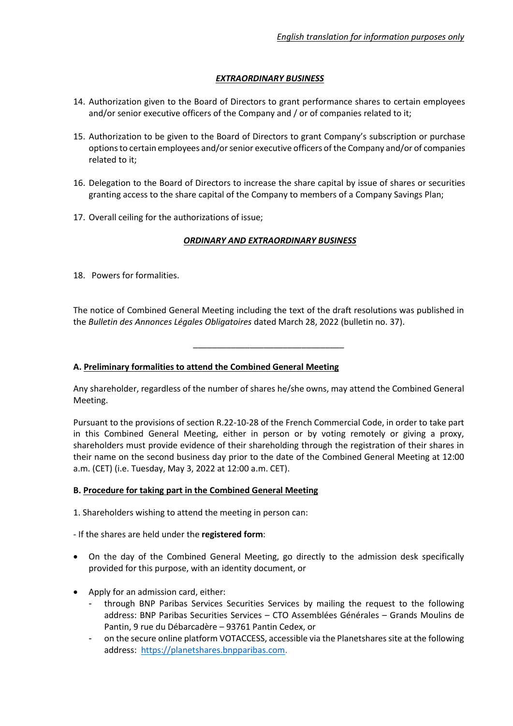## *EXTRAORDINARY BUSINESS*

- 14. Authorization given to the Board of Directors to grant performance shares to certain employees and/or senior executive officers of the Company and / or of companies related to it;
- 15. Authorization to be given to the Board of Directors to grant Company's subscription or purchase options to certain employees and/or senior executive officers of the Company and/or of companies related to it;
- 16. Delegation to the Board of Directors to increase the share capital by issue of shares or securities granting access to the share capital of the Company to members of a Company Savings Plan;
- 17. Overall ceiling for the authorizations of issue;

# *ORDINARY AND EXTRAORDINARY BUSINESS*

18. Powers for formalities.

The notice of Combined General Meeting including the text of the draft resolutions was published in the *Bulletin des Annonces Légales Obligatoires* dated March 28, 2022 (bulletin no. 37).

\_\_\_\_\_\_\_\_\_\_\_\_\_\_\_\_\_\_\_\_\_\_\_\_\_\_\_\_\_\_\_\_

### **A. Preliminary formalities to attend the Combined General Meeting**

Any shareholder, regardless of the number of shares he/she owns, may attend the Combined General Meeting.

Pursuant to the provisions of section R.22-10-28 of the French Commercial Code, in order to take part in this Combined General Meeting, either in person or by voting remotely or giving a proxy, shareholders must provide evidence of their shareholding through the registration of their shares in their name on the second business day prior to the date of the Combined General Meeting at 12:00 a.m. (CET) (i.e. Tuesday, May 3, 2022 at 12:00 a.m. CET).

### **B. Procedure for taking part in the Combined General Meeting**

- 1. Shareholders wishing to attend the meeting in person can:
- If the shares are held under the **registered form**:
- On the day of the Combined General Meeting, go directly to the admission desk specifically provided for this purpose, with an identity document, or
- Apply for an admission card, either:
	- through BNP Paribas Services Securities Services by mailing the request to the following address: BNP Paribas Securities Services – CTO Assemblées Générales – Grands Moulins de Pantin, 9 rue du Débarcadère – 93761 Pantin Cedex, or
	- on the secure online platform VOTACCESS, accessible via the Planetshares site at the following address: [https://planetshares.bnpparibas.com.](https://planetshares.bnpparibas.com/)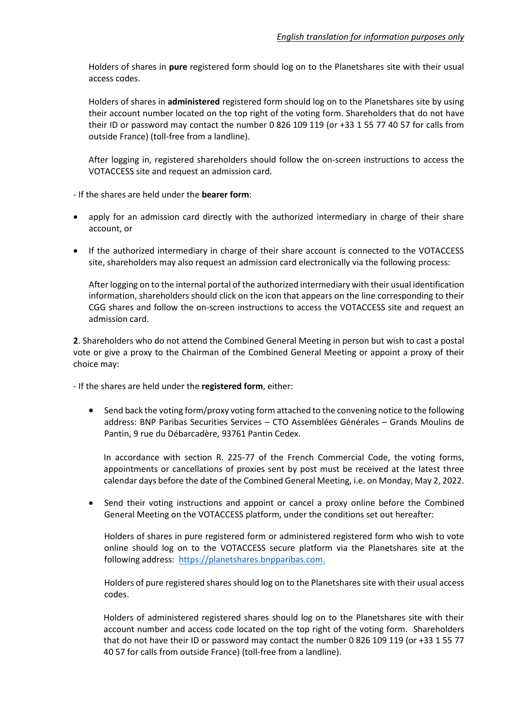Holders of shares in **pure** registered form should log on to the Planetshares site with their usual access codes.

Holders of shares in **administered** registered form should log on to the Planetshares site by using their account number located on the top right of the voting form. Shareholders that do not have their ID or password may contact the number 0 826 109 119 (or +33 1 55 77 40 57 for calls from outside France) (toll-free from a landline).

After logging in, registered shareholders should follow the on-screen instructions to access the VOTACCESS site and request an admission card.

- If the shares are held under the **bearer form**:

- apply for an admission card directly with the authorized intermediary in charge of their share account, or
- If the authorized intermediary in charge of their share account is connected to the VOTACCESS site, shareholders may also request an admission card electronically via the following process:

After logging on to the internal portal of the authorized intermediary with their usual identification information, shareholders should click on the icon that appears on the line corresponding to their CGG shares and follow the on-screen instructions to access the VOTACCESS site and request an admission card.

**2**. Shareholders who do not attend the Combined General Meeting in person but wish to cast a postal vote or give a proxy to the Chairman of the Combined General Meeting or appoint a proxy of their choice may:

- If the shares are held under the **registered form**, either:

• Send back the voting form/proxy voting form attached to the convening notice to the following address: BNP Paribas Securities Services – CTO Assemblées Générales – Grands Moulins de Pantin, 9 rue du Débarcadère, 93761 Pantin Cedex.

In accordance with section R. 225-77 of the French Commercial Code, the voting forms, appointments or cancellations of proxies sent by post must be received at the latest three calendar days before the date of the Combined General Meeting, i.e. on Monday, May 2, 2022.

• Send their voting instructions and appoint or cancel a proxy online before the Combined General Meeting on the VOTACCESS platform, under the conditions set out hereafter:

Holders of shares in pure registered form or administered registered form who wish to vote online should log on to the VOTACCESS secure platform via the Planetshares site at the following address: [https://planetshares.bnpparibas.com.](https://planetshares.bnpparibas.com/)

Holders of pure registered shares should log on to the Planetshares site with their usual access codes.

Holders of administered registered shares should log on to the Planetshares site with their account number and access code located on the top right of the voting form. Shareholders that do not have their ID or password may contact the number 0 826 109 119 (or +33 1 55 77 40 57 for calls from outside France) (toll-free from a landline).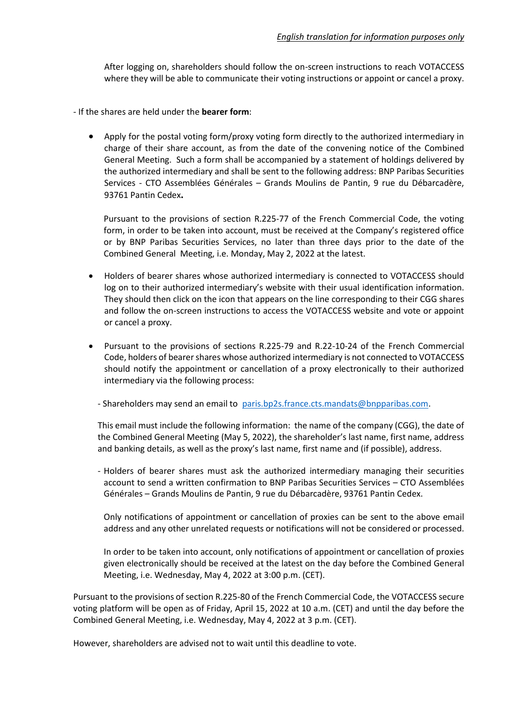After logging on, shareholders should follow the on-screen instructions to reach VOTACCESS where they will be able to communicate their voting instructions or appoint or cancel a proxy.

- If the shares are held under the **bearer form**:
	- Apply for the postal voting form/proxy voting form directly to the authorized intermediary in charge of their share account, as from the date of the convening notice of the Combined General Meeting. Such a form shall be accompanied by a statement of holdings delivered by the authorized intermediary and shall be sent to the following address: BNP Paribas Securities Services - CTO Assemblées Générales – Grands Moulins de Pantin, 9 rue du Débarcadère, 93761 Pantin Cedex**.**

Pursuant to the provisions of section R.225-77 of the French Commercial Code, the voting form, in order to be taken into account, must be received at the Company's registered office or by BNP Paribas Securities Services, no later than three days prior to the date of the Combined General Meeting, i.e. Monday, May 2, 2022 at the latest.

- Holders of bearer shares whose authorized intermediary is connected to VOTACCESS should log on to their authorized intermediary's website with their usual identification information. They should then click on the icon that appears on the line corresponding to their CGG shares and follow the on-screen instructions to access the VOTACCESS website and vote or appoint or cancel a proxy.
- Pursuant to the provisions of sections R.225-79 and R.22-10-24 of the French Commercial Code, holders of bearer shares whose authorized intermediary is not connected to VOTACCESS should notify the appointment or cancellation of a proxy electronically to their authorized intermediary via the following process:
	- Shareholders may send an email to [paris.bp2s.france.cts.mandats@bnpparibas.com.](mailto:paris.bp2s.france.cts.mandats@bnpparibas.com)

This email must include the following information: the name of the company (CGG), the date of the Combined General Meeting (May 5, 2022), the shareholder's last name, first name, address and banking details, as well as the proxy's last name, first name and (if possible), address.

- Holders of bearer shares must ask the authorized intermediary managing their securities account to send a written confirmation to BNP Paribas Securities Services – CTO Assemblées Générales – Grands Moulins de Pantin, 9 rue du Débarcadère, 93761 Pantin Cedex.

Only notifications of appointment or cancellation of proxies can be sent to the above email address and any other unrelated requests or notifications will not be considered or processed.

In order to be taken into account, only notifications of appointment or cancellation of proxies given electronically should be received at the latest on the day before the Combined General Meeting, i.e. Wednesday, May 4, 2022 at 3:00 p.m. (CET).

Pursuant to the provisions of section R.225-80 of the French Commercial Code, the VOTACCESS secure voting platform will be open as of Friday, April 15, 2022 at 10 a.m. (CET) and until the day before the Combined General Meeting, i.e. Wednesday, May 4, 2022 at 3 p.m. (CET).

However, shareholders are advised not to wait until this deadline to vote.